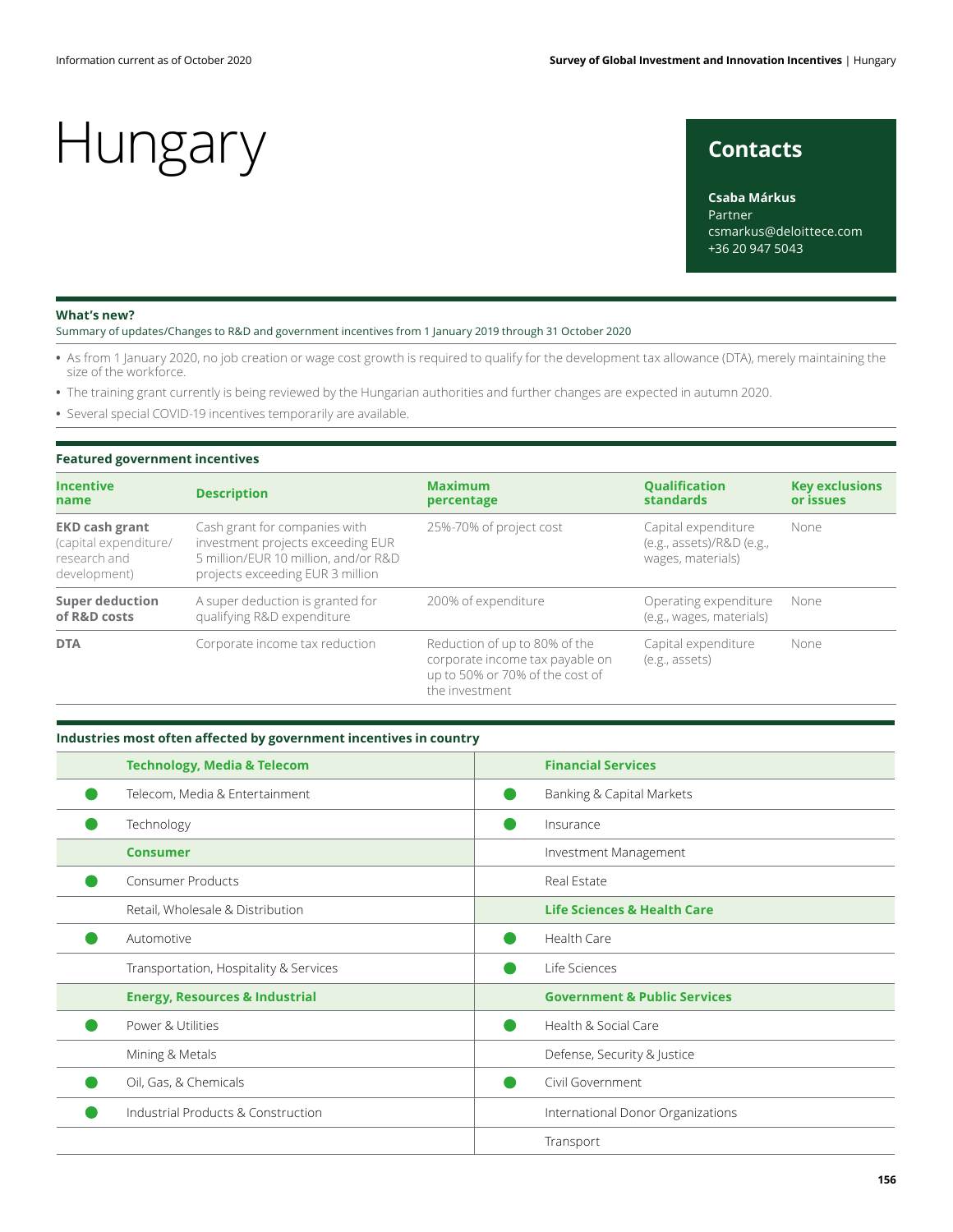### **Contacts**

**Csaba Márkus** Partner csmarkus@deloittece.com +36 20 947 5043

#### **What's new?**

Summary of updates/Changes to R&D and government incentives from 1 January 2019 through 31 October 2020

- **•** As from 1 January 2020, no job creation or wage cost growth is required to qualify for the development tax allowance (DTA), merely maintaining the size of the workforce.
- **•** The training grant currently is being reviewed by the Hungarian authorities and further changes are expected in autumn 2020.
- **•** Several special COVID-19 incentives temporarily are available.

#### **Featured government incentives**

| <b>Incentive</b><br>name                                                       | <b>Description</b>                                                                                                                             | <b>Maximum</b><br>percentage                                                                                          | <b>Oualification</b><br>standards                                     | <b>Key exclusions</b><br>or issues<br>None |  |
|--------------------------------------------------------------------------------|------------------------------------------------------------------------------------------------------------------------------------------------|-----------------------------------------------------------------------------------------------------------------------|-----------------------------------------------------------------------|--------------------------------------------|--|
| <b>EKD cash grant</b><br>(capital expenditure/<br>research and<br>development) | Cash grant for companies with<br>investment projects exceeding EUR<br>5 million/EUR 10 million, and/or R&D<br>projects exceeding EUR 3 million | 25%-70% of project cost                                                                                               | Capital expenditure<br>(e.g., assets)/R&D (e.g.,<br>wages, materials) |                                            |  |
| <b>Super deduction</b><br>of R&D costs                                         | A super deduction is granted for<br>qualifying R&D expenditure                                                                                 | 200% of expenditure                                                                                                   | Operating expenditure<br>(e.g., wages, materials)                     | None                                       |  |
| Corporate income tax reduction<br><b>DTA</b>                                   |                                                                                                                                                | Reduction of up to 80% of the<br>corporate income tax payable on<br>up to 50% or 70% of the cost of<br>the investment | Capital expenditure<br>(e.g., assets)                                 | None                                       |  |

#### **Industries most often affected by government incentives in country**

| <b>Technology, Media &amp; Telecom</b>    | <b>Financial Services</b>               |  |  |
|-------------------------------------------|-----------------------------------------|--|--|
| Telecom, Media & Entertainment            | Banking & Capital Markets               |  |  |
| Technology                                | Insurance                               |  |  |
| <b>Consumer</b>                           | Investment Management                   |  |  |
| <b>Consumer Products</b>                  | Real Estate                             |  |  |
| Retail, Wholesale & Distribution          | <b>Life Sciences &amp; Health Care</b>  |  |  |
| Automotive                                | Health Care                             |  |  |
| Transportation, Hospitality & Services    | Life Sciences                           |  |  |
| <b>Energy, Resources &amp; Industrial</b> | <b>Government &amp; Public Services</b> |  |  |
| Power & Utilities                         | Health & Social Care                    |  |  |
| Mining & Metals                           | Defense, Security & Justice             |  |  |
| Oil, Gas, & Chemicals                     | Civil Government                        |  |  |
| Industrial Products & Construction        | International Donor Organizations       |  |  |
|                                           | Transport                               |  |  |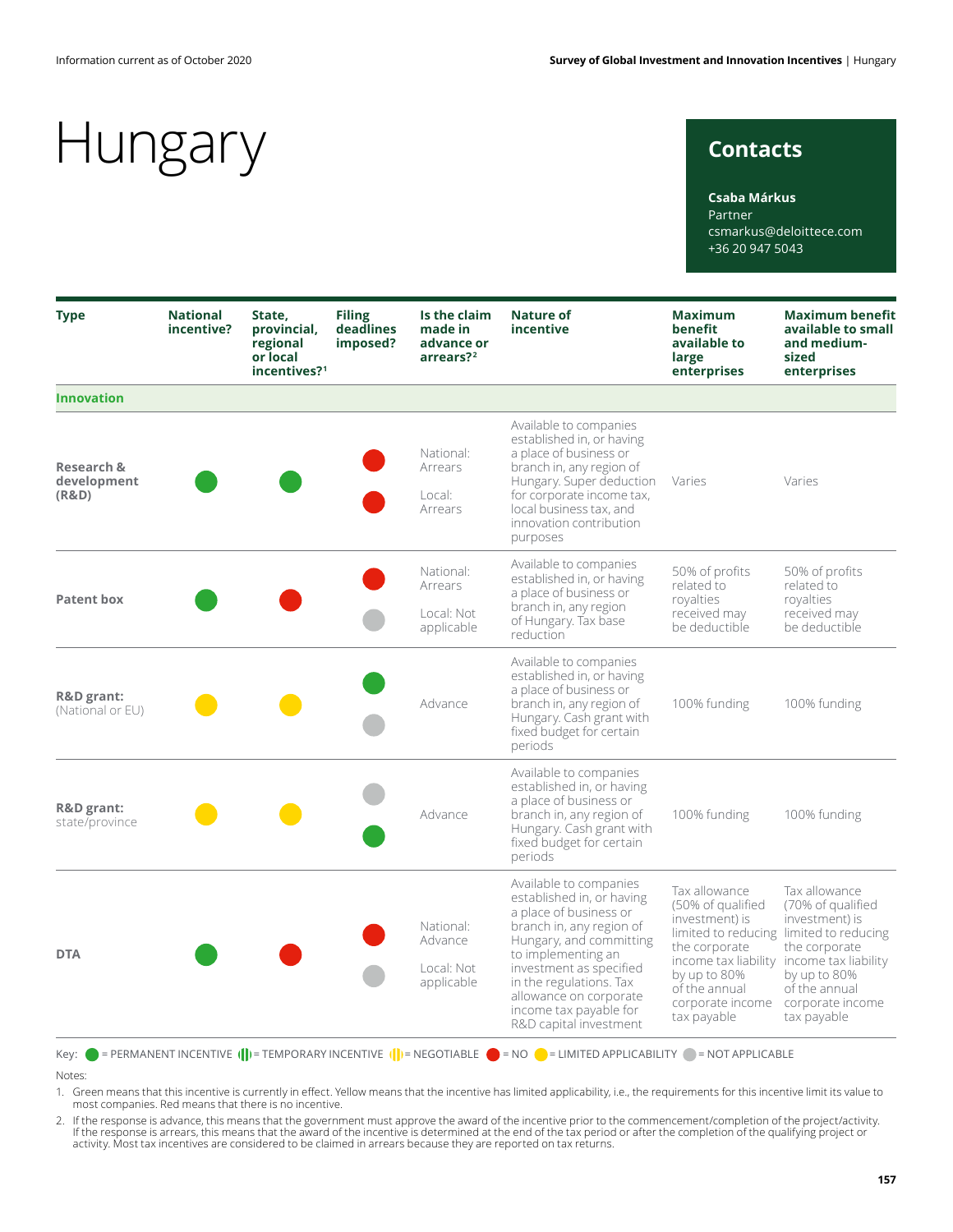### **Contacts**

#### **Csaba Márkus**

Partner csmarkus@deloittece.com +36 20 947 5043

| <b>Type</b>                                   | <b>National</b><br>incentive? | State,<br>provincial,<br>regional<br>or local<br>incentives? <sup>1</sup> | <b>Filing</b><br>deadlines<br>imposed? | Is the claim<br>made in<br>advance or<br>arrears? <sup>2</sup> | <b>Nature of</b><br>incentive                                                                                                                                                                                                                                                                  | <b>Maximum</b><br>benefit<br>available to<br>large<br>enterprises                                                                         | <b>Maximum benefit</b><br>available to small<br>and medium-<br>sized<br>enterprises                                                                                                                                               |
|-----------------------------------------------|-------------------------------|---------------------------------------------------------------------------|----------------------------------------|----------------------------------------------------------------|------------------------------------------------------------------------------------------------------------------------------------------------------------------------------------------------------------------------------------------------------------------------------------------------|-------------------------------------------------------------------------------------------------------------------------------------------|-----------------------------------------------------------------------------------------------------------------------------------------------------------------------------------------------------------------------------------|
| <b>Innovation</b>                             |                               |                                                                           |                                        |                                                                |                                                                                                                                                                                                                                                                                                |                                                                                                                                           |                                                                                                                                                                                                                                   |
| <b>Research &amp;</b><br>development<br>(R&D) |                               |                                                                           |                                        | National:<br>Arrears<br>Local:<br>Arrears                      | Available to companies<br>established in, or having<br>a place of business or<br>branch in, any region of<br>Hungary. Super deduction<br>for corporate income tax,<br>local business tax, and<br>innovation contribution<br>purposes                                                           | Varies                                                                                                                                    | Varies                                                                                                                                                                                                                            |
| <b>Patent box</b>                             |                               |                                                                           |                                        | National:<br>Arrears<br>Local: Not<br>applicable               | Available to companies<br>established in, or having<br>a place of business or<br>branch in, any region<br>of Hungary. Tax base<br>reduction                                                                                                                                                    | 50% of profits<br>related to<br>royalties<br>received may<br>be deductible                                                                | 50% of profits<br>related to<br>royalties<br>received may<br>be deductible                                                                                                                                                        |
| <b>R&amp;D</b> grant:<br>(National or EU)     |                               |                                                                           |                                        | Advance                                                        | Available to companies<br>established in, or having<br>a place of business or<br>branch in, any region of<br>Hungary. Cash grant with<br>fixed budget for certain<br>periods                                                                                                                   | 100% funding                                                                                                                              | 100% funding                                                                                                                                                                                                                      |
| <b>R&amp;D</b> grant:<br>state/province       |                               |                                                                           |                                        | Advance                                                        | Available to companies<br>established in, or having<br>a place of business or<br>branch in, any region of<br>Hungary. Cash grant with<br>fixed budget for certain<br>periods                                                                                                                   | 100% funding                                                                                                                              | 100% funding                                                                                                                                                                                                                      |
| <b>DTA</b>                                    |                               |                                                                           |                                        | National:<br>Advance<br>Local: Not<br>applicable               | Available to companies<br>established in, or having<br>a place of business or<br>branch in, any region of<br>Hungary, and committing<br>to implementing an<br>investment as specified<br>in the regulations. Tax<br>allowance on corporate<br>income tax payable for<br>R&D capital investment | Tax allowance<br>(50% of qualified<br>investment) is<br>the corporate<br>by up to 80%<br>of the annual<br>corporate income<br>tax payable | Tax allowance<br>(70% of qualified<br>investment) is<br>limited to reducing limited to reducing<br>the corporate<br>income tax liability income tax liability<br>by up to 80%<br>of the annual<br>corporate income<br>tax payable |

Key:  $\bullet$  = PERMANENT INCENTIVE  $(\cdot|\cdot)$  = TEMPORARY INCENTIVE  $(\cdot|\cdot)$  = NEGOTIABLE  $\bullet$  = NO  $\bullet$  = LIMITED APPLICABILITY  $\circ$  = NOT APPLICABLE Notes:

1. Green means that this incentive is currently in effect. Yellow means that the incentive has limited applicability, i.e., the requirements for this incentive limit its value to most companies. Red means that there is no incentive.

. If the response is advance, this means that the government must approve the award of the incentive prior to the commencement/completion of the project/activity.<br>If the response is arrears, this means that the award of th activity. Most tax incentives are considered to be claimed in arrears because they are reported on tax returns.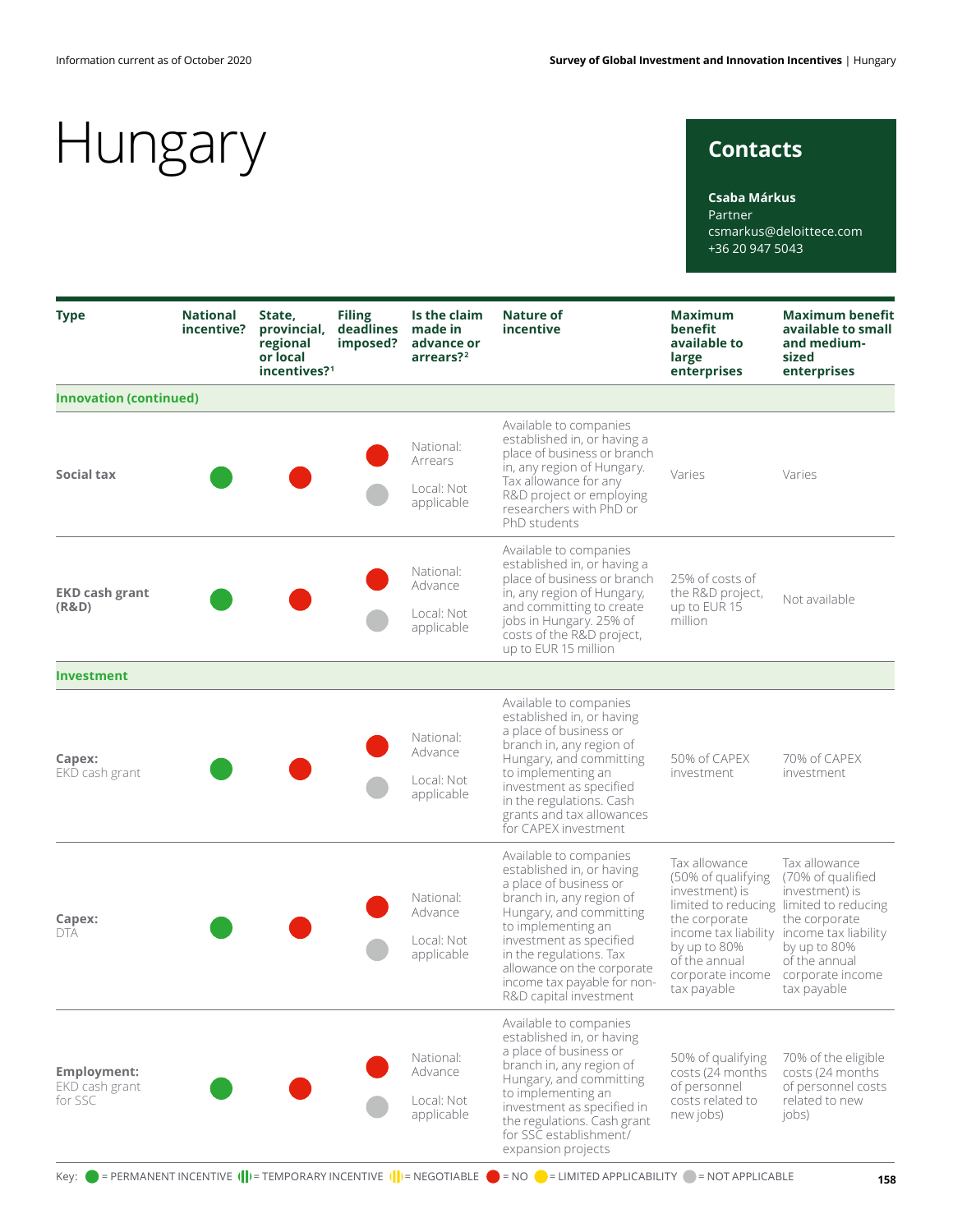### **Contacts**

#### **Csaba Márkus**

Partner csmarkus@deloittece.com +36 20 947 5043

| <b>Type</b>                                     | <b>National</b><br>incentive? | State,<br>provincial,<br>regional<br>or local<br>incentives? <sup>1</sup> | <b>Filing</b><br>deadlines<br>imposed? | Is the claim<br>made in<br>advance or<br>arrears? <sup>2</sup> | Nature of<br>incentive                                                                                                                                                                                                                                                                                  | <b>Maximum</b><br>benefit<br>available to<br>large<br>enterprises                                                                                                  | <b>Maximum benefit</b><br>available to small<br>and medium-<br>sized<br>enterprises                                                                                                                          |
|-------------------------------------------------|-------------------------------|---------------------------------------------------------------------------|----------------------------------------|----------------------------------------------------------------|---------------------------------------------------------------------------------------------------------------------------------------------------------------------------------------------------------------------------------------------------------------------------------------------------------|--------------------------------------------------------------------------------------------------------------------------------------------------------------------|--------------------------------------------------------------------------------------------------------------------------------------------------------------------------------------------------------------|
| <b>Innovation (continued)</b>                   |                               |                                                                           |                                        |                                                                |                                                                                                                                                                                                                                                                                                         |                                                                                                                                                                    |                                                                                                                                                                                                              |
| Social tax                                      |                               |                                                                           |                                        | National:<br>Arrears<br>Local: Not<br>applicable               | Available to companies<br>established in, or having a<br>place of business or branch<br>in, any region of Hungary.<br>Tax allowance for any<br>R&D project or employing<br>researchers with PhD or<br>PhD students                                                                                      | Varies                                                                                                                                                             | Varies                                                                                                                                                                                                       |
| <b>EKD cash grant</b><br>(R&D)                  |                               |                                                                           |                                        | National:<br>Advance<br>Local: Not<br>applicable               | Available to companies<br>established in, or having a<br>place of business or branch<br>in, any region of Hungary,<br>and committing to create<br>jobs in Hungary. 25% of<br>costs of the R&D project,<br>up to EUR 15 million                                                                          | 25% of costs of<br>the R&D project,<br>up to EUR 15<br>million                                                                                                     | Not available                                                                                                                                                                                                |
| <b>Investment</b>                               |                               |                                                                           |                                        |                                                                |                                                                                                                                                                                                                                                                                                         |                                                                                                                                                                    |                                                                                                                                                                                                              |
| Capex:<br>EKD cash grant                        |                               |                                                                           |                                        | National:<br>Advance<br>Local: Not<br>applicable               | Available to companies<br>established in, or having<br>a place of business or<br>branch in, any region of<br>Hungary, and committing<br>to implementing an<br>investment as specified<br>in the regulations. Cash<br>grants and tax allowances<br>for CAPEX investment                                  | 50% of CAPEX<br>investment                                                                                                                                         | 70% of CAPEX<br>investment                                                                                                                                                                                   |
| Capex:<br>DTA                                   |                               |                                                                           |                                        | National:<br>Advance<br>Local: Not<br>applicable               | Available to companies<br>established in, or having<br>a place of business or<br>branch in, any region of<br>Hungary, and committing<br>to implementing an<br>investment as specified<br>in the regulations. Tax<br>allowance on the corporate<br>income tax payable for non-<br>R&D capital investment | Tax allowance<br>(50% of qualifying<br>investment) is<br>the corporate<br>income tax liability<br>by up to 80%<br>of the annual<br>corporate income<br>tax payable | Tax allowance<br>(70% of qualified<br>investment) is<br>limited to reducing limited to reducing<br>the corporate<br>income tax liability<br>by up to 80%<br>of the annual<br>corporate income<br>tax payable |
| <b>Employment:</b><br>EKD cash grant<br>for SSC |                               |                                                                           |                                        | National:<br>Advance<br>Local: Not<br>applicable               | Available to companies<br>established in, or having<br>a place of business or<br>branch in, any region of<br>Hungary, and committing<br>to implementing an<br>investment as specified in<br>the regulations. Cash grant<br>for SSC establishment/<br>expansion projects                                 | 50% of qualifying<br>costs (24 months<br>of personnel<br>costs related to<br>new jobs)                                                                             | 70% of the eligible<br>costs (24 months)<br>of personnel costs<br>related to new<br>jobs)                                                                                                                    |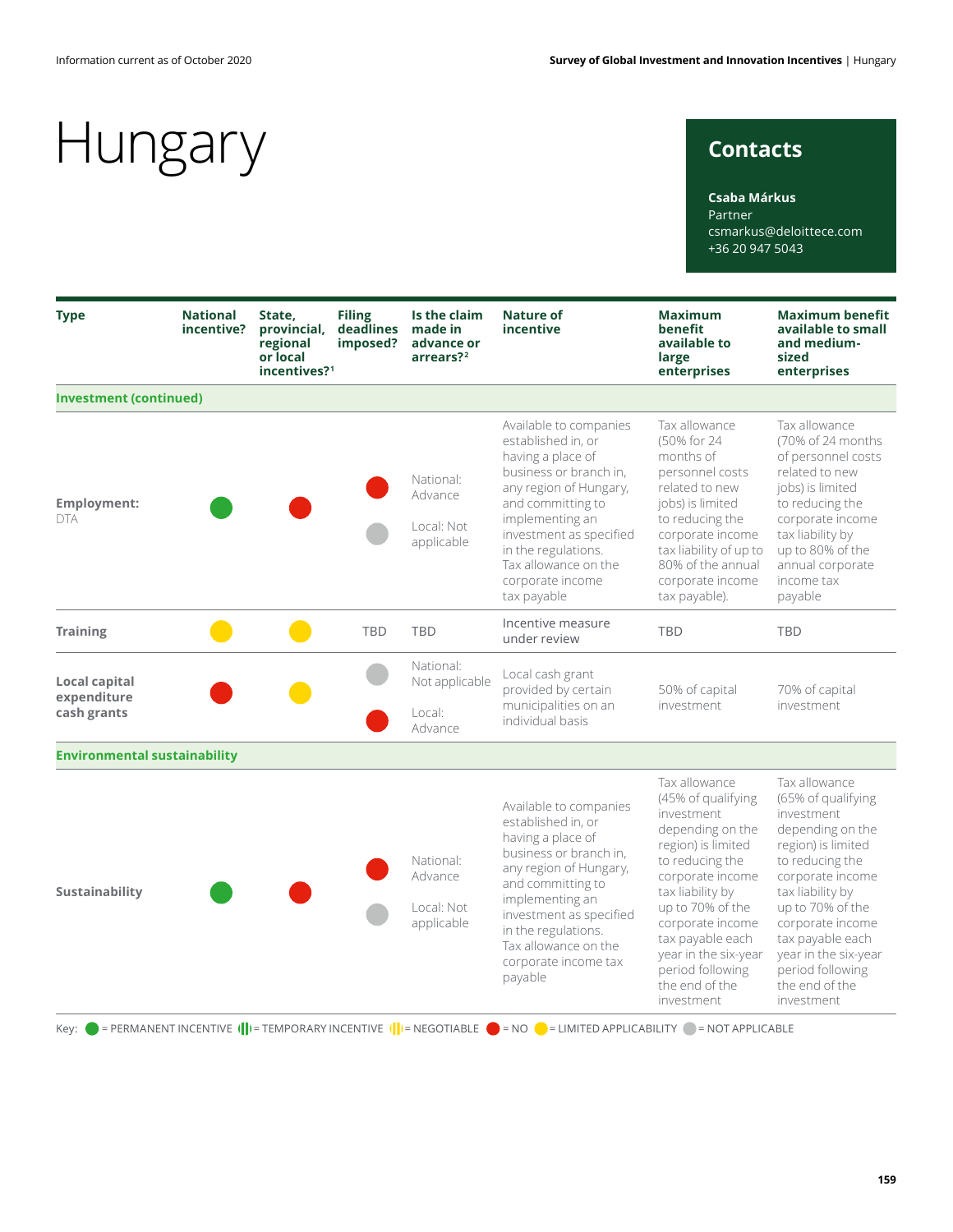### **Contacts**

**Csaba Márkus**

Partner csmarkus@deloittece.com +36 20 947 5043

| <b>Type</b>                                 | <b>National</b><br>incentive? | State,<br>provincial,<br>regional<br>or local<br>incentives? <sup>1</sup> | <b>Filing</b><br>deadlines<br>imposed? | Is the claim<br>made in<br>advance or<br>arrears?2 | <b>Nature of</b><br>incentive                                                                                                                                                                                                                                              | <b>Maximum</b><br>benefit<br>available to<br>large<br>enterprises                                                                                                                                                                                                                              | <b>Maximum benefit</b><br>available to small<br>and medium-<br>sized<br>enterprises                                                                                                                                                                                                            |
|---------------------------------------------|-------------------------------|---------------------------------------------------------------------------|----------------------------------------|----------------------------------------------------|----------------------------------------------------------------------------------------------------------------------------------------------------------------------------------------------------------------------------------------------------------------------------|------------------------------------------------------------------------------------------------------------------------------------------------------------------------------------------------------------------------------------------------------------------------------------------------|------------------------------------------------------------------------------------------------------------------------------------------------------------------------------------------------------------------------------------------------------------------------------------------------|
| <b>Investment (continued)</b>               |                               |                                                                           |                                        |                                                    |                                                                                                                                                                                                                                                                            |                                                                                                                                                                                                                                                                                                |                                                                                                                                                                                                                                                                                                |
| <b>Employment:</b><br><b>DTA</b>            |                               |                                                                           |                                        | National:<br>Advance<br>Local: Not<br>applicable   | Available to companies<br>established in, or<br>having a place of<br>business or branch in,<br>any region of Hungary,<br>and committing to<br>implementing an<br>investment as specified<br>in the regulations.<br>Tax allowance on the<br>corporate income<br>tax payable | Tax allowance<br>(50% for 24<br>months of<br>personnel costs<br>related to new<br>jobs) is limited<br>to reducing the<br>corporate income<br>tax liability of up to<br>80% of the annual<br>corporate income<br>tax payable).                                                                  | Tax allowance<br>(70% of 24 months<br>of personnel costs<br>related to new<br>jobs) is limited<br>to reducing the<br>corporate income<br>tax liability by<br>up to 80% of the<br>annual corporate<br>income tax<br>payable                                                                     |
| <b>Training</b>                             |                               |                                                                           | <b>TBD</b>                             | <b>TBD</b>                                         | Incentive measure<br>under review                                                                                                                                                                                                                                          | <b>TBD</b>                                                                                                                                                                                                                                                                                     | <b>TBD</b>                                                                                                                                                                                                                                                                                     |
| Local capital<br>expenditure<br>cash grants |                               |                                                                           |                                        | National:<br>Not applicable<br>Local:<br>Advance   | Local cash grant<br>provided by certain<br>municipalities on an<br>individual basis                                                                                                                                                                                        | 50% of capital<br>investment                                                                                                                                                                                                                                                                   | 70% of capital<br>investment                                                                                                                                                                                                                                                                   |
| <b>Environmental sustainability</b>         |                               |                                                                           |                                        |                                                    |                                                                                                                                                                                                                                                                            |                                                                                                                                                                                                                                                                                                |                                                                                                                                                                                                                                                                                                |
| Sustainability                              |                               |                                                                           |                                        | National:<br>Advance<br>Local: Not<br>applicable   | Available to companies<br>established in, or<br>having a place of<br>business or branch in,<br>any region of Hungary,<br>and committing to<br>implementing an<br>investment as specified<br>in the regulations.<br>Tax allowance on the<br>corporate income tax<br>payable | Tax allowance<br>(45% of qualifying<br>investment<br>depending on the<br>region) is limited<br>to reducing the<br>corporate income<br>tax liability by<br>up to 70% of the<br>corporate income<br>tax payable each<br>year in the six-year<br>period following<br>the end of the<br>investment | Tax allowance<br>(65% of qualifying<br>investment<br>depending on the<br>region) is limited<br>to reducing the<br>corporate income<br>tax liability by<br>up to 70% of the<br>corporate income<br>tax payable each<br>year in the six-year<br>period following<br>the end of the<br>investment |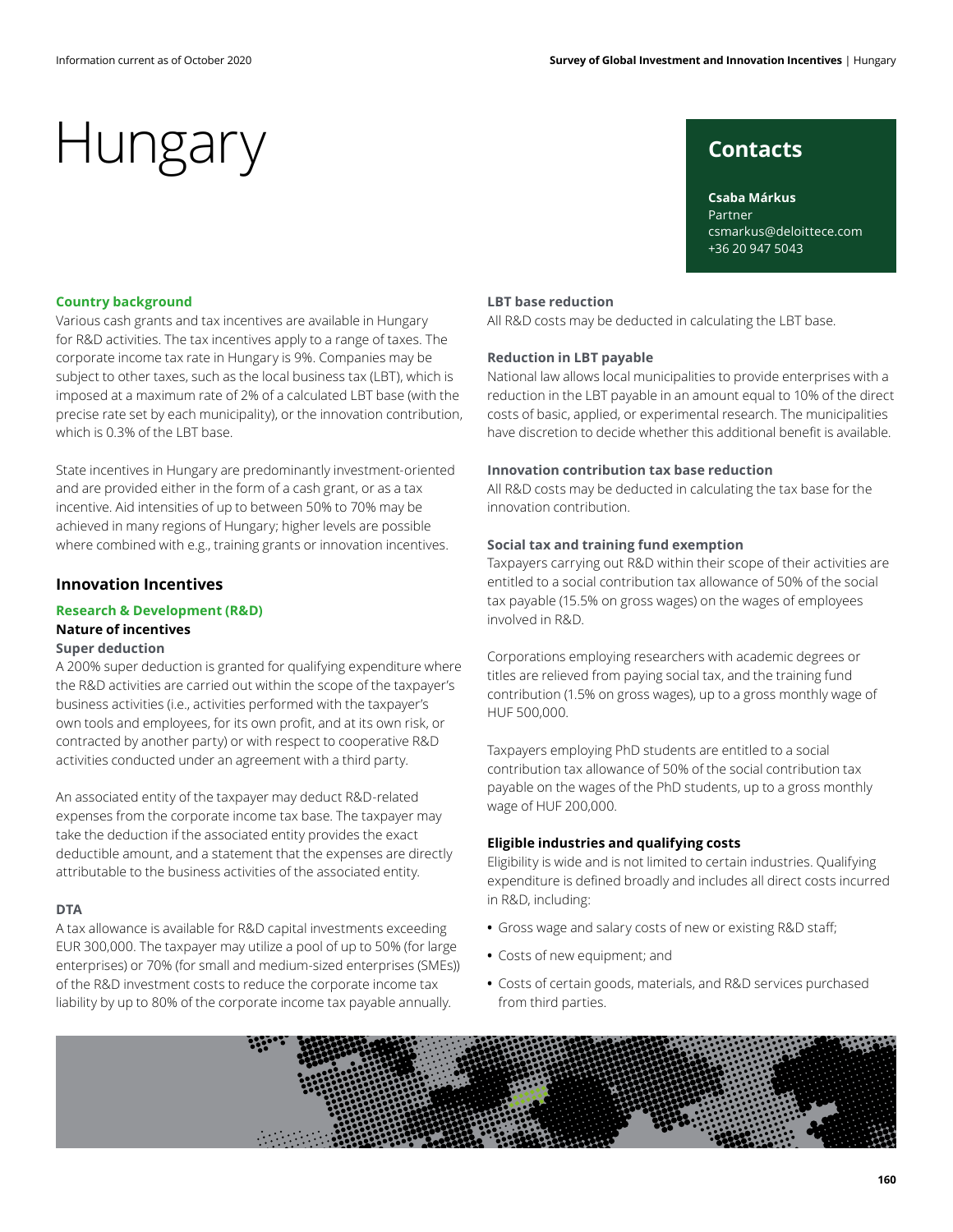# Hungary contacts

**Csaba Márkus** Partner csmarkus@deloittece.com +36 20 947 5043

#### **Country background**

Various cash grants and tax incentives are available in Hungary for R&D activities. The tax incentives apply to a range of taxes. The corporate income tax rate in Hungary is 9%. Companies may be subject to other taxes, such as the local business tax (LBT), which is imposed at a maximum rate of 2% of a calculated LBT base (with the precise rate set by each municipality), or the innovation contribution, which is 0.3% of the LBT base.

State incentives in Hungary are predominantly investment-oriented and are provided either in the form of a cash grant, or as a tax incentive. Aid intensities of up to between 50% to 70% may be achieved in many regions of Hungary; higher levels are possible where combined with e.g., training grants or innovation incentives.

#### **Innovation Incentives**

### **Research & Development (R&D) Nature of incentives**

### **Super deduction**

A 200% super deduction is granted for qualifying expenditure where the R&D activities are carried out within the scope of the taxpayer's business activities (i.e., activities performed with the taxpayer's own tools and employees, for its own profit, and at its own risk, or contracted by another party) or with respect to cooperative R&D activities conducted under an agreement with a third party.

An associated entity of the taxpayer may deduct R&D-related expenses from the corporate income tax base. The taxpayer may take the deduction if the associated entity provides the exact deductible amount, and a statement that the expenses are directly attributable to the business activities of the associated entity.

#### **DTA**

A tax allowance is available for R&D capital investments exceeding EUR 300,000. The taxpayer may utilize a pool of up to 50% (for large enterprises) or 70% (for small and medium-sized enterprises (SMEs)) of the R&D investment costs to reduce the corporate income tax liability by up to 80% of the corporate income tax payable annually.

#### **LBT base reduction**

All R&D costs may be deducted in calculating the LBT base.

#### **Reduction in LBT payable**

National law allows local municipalities to provide enterprises with a reduction in the LBT payable in an amount equal to 10% of the direct costs of basic, applied, or experimental research. The municipalities have discretion to decide whether this additional benefit is available.

#### **Innovation contribution tax base reduction**

All R&D costs may be deducted in calculating the tax base for the innovation contribution.

### **Social tax and training fund exemption**

Taxpayers carrying out R&D within their scope of their activities are entitled to a social contribution tax allowance of 50% of the social tax payable (15.5% on gross wages) on the wages of employees involved in R&D.

Corporations employing researchers with academic degrees or titles are relieved from paying social tax, and the training fund contribution (1.5% on gross wages), up to a gross monthly wage of HUF 500,000.

Taxpayers employing PhD students are entitled to a social contribution tax allowance of 50% of the social contribution tax payable on the wages of the PhD students, up to a gross monthly wage of HUF 200,000.

#### **Eligible industries and qualifying costs**

Eligibility is wide and is not limited to certain industries. Qualifying expenditure is defined broadly and includes all direct costs incurred in R&D, including:

- **•** Gross wage and salary costs of new or existing R&D staff;
- **•** Costs of new equipment; and
- **•** Costs of certain goods, materials, and R&D services purchased from third parties.

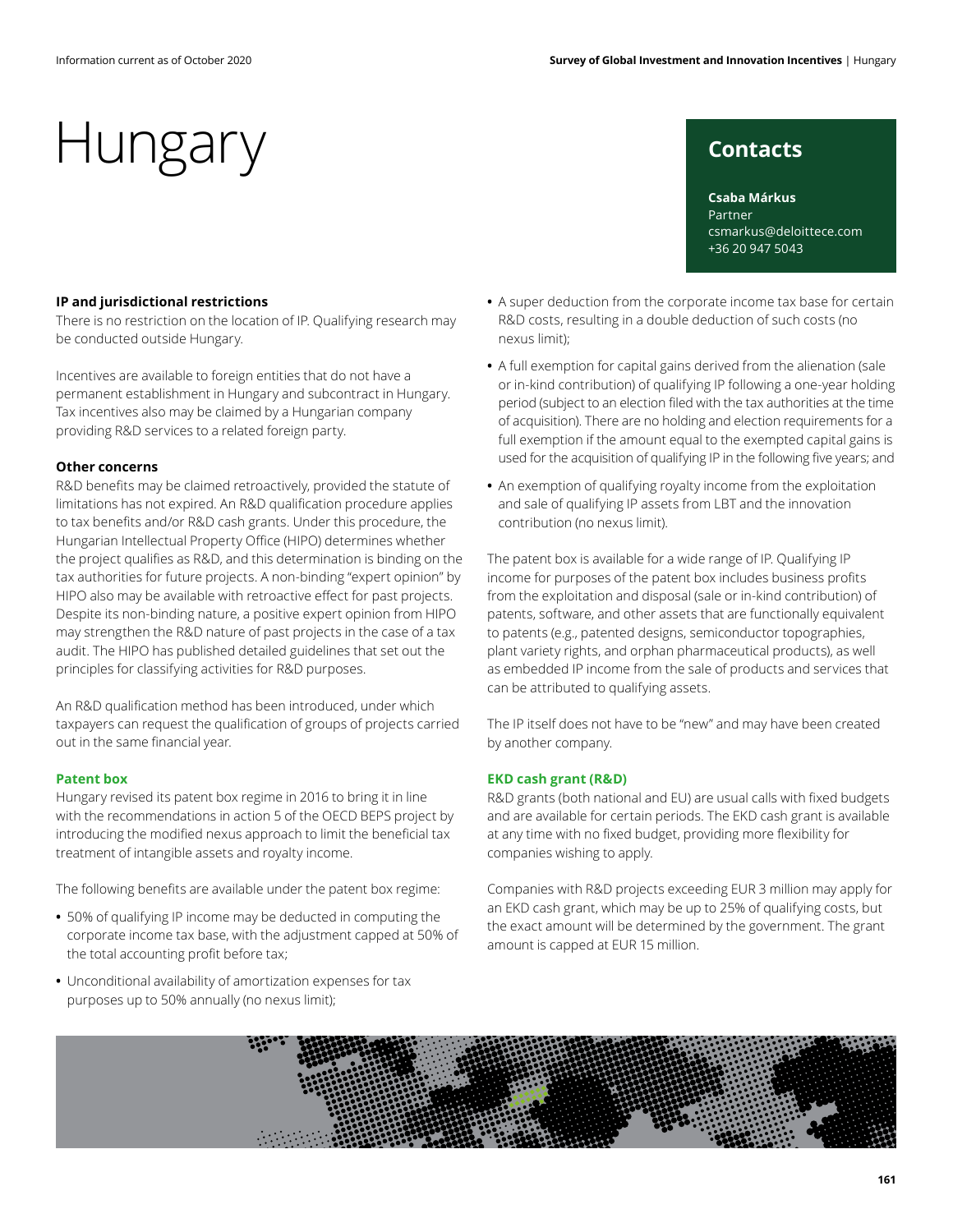**Csaba Márkus** Partner

+36 20 947 5043

csmarkus@deloittece.com

## Hungary contacts

#### **IP and jurisdictional restrictions**

There is no restriction on the location of IP. Qualifying research may be conducted outside Hungary.

Incentives are available to foreign entities that do not have a permanent establishment in Hungary and subcontract in Hungary. Tax incentives also may be claimed by a Hungarian company providing R&D services to a related foreign party.

#### **Other concerns**

R&D benefits may be claimed retroactively, provided the statute of limitations has not expired. An R&D qualification procedure applies to tax benefits and/or R&D cash grants. Under this procedure, the Hungarian Intellectual Property Office (HIPO) determines whether the project qualifies as R&D, and this determination is binding on the tax authorities for future projects. A non-binding "expert opinion" by HIPO also may be available with retroactive effect for past projects. Despite its non-binding nature, a positive expert opinion from HIPO may strengthen the R&D nature of past projects in the case of a tax audit. The HIPO has published detailed guidelines that set out the principles for classifying activities for R&D purposes.

An R&D qualification method has been introduced, under which taxpayers can request the qualification of groups of projects carried out in the same financial year.

#### **Patent box**

Hungary revised its patent box regime in 2016 to bring it in line with the recommendations in action 5 of the OECD BEPS project by introducing the modified nexus approach to limit the beneficial tax treatment of intangible assets and royalty income.

The following benefits are available under the patent box regime:

- **•** 50% of qualifying IP income may be deducted in computing the corporate income tax base, with the adjustment capped at 50% of the total accounting profit before tax;
- **•** Unconditional availability of amortization expenses for tax purposes up to 50% annually (no nexus limit);
- **•** A super deduction from the corporate income tax base for certain R&D costs, resulting in a double deduction of such costs (no nexus limit);
- **•** A full exemption for capital gains derived from the alienation (sale or in-kind contribution) of qualifying IP following a one-year holding period (subject to an election filed with the tax authorities at the time of acquisition). There are no holding and election requirements for a full exemption if the amount equal to the exempted capital gains is used for the acquisition of qualifying IP in the following five years; and
- **•** An exemption of qualifying royalty income from the exploitation and sale of qualifying IP assets from LBT and the innovation contribution (no nexus limit).

The patent box is available for a wide range of IP. Qualifying IP income for purposes of the patent box includes business profits from the exploitation and disposal (sale or in-kind contribution) of patents, software, and other assets that are functionally equivalent to patents (e.g., patented designs, semiconductor topographies, plant variety rights, and orphan pharmaceutical products), as well as embedded IP income from the sale of products and services that can be attributed to qualifying assets.

The IP itself does not have to be "new" and may have been created by another company.

#### **EKD cash grant (R&D)**

R&D grants (both national and EU) are usual calls with fixed budgets and are available for certain periods. The EKD cash grant is available at any time with no fixed budget, providing more flexibility for companies wishing to apply.

Companies with R&D projects exceeding EUR 3 million may apply for an EKD cash grant, which may be up to 25% of qualifying costs, but the exact amount will be determined by the government. The grant amount is capped at EUR 15 million.